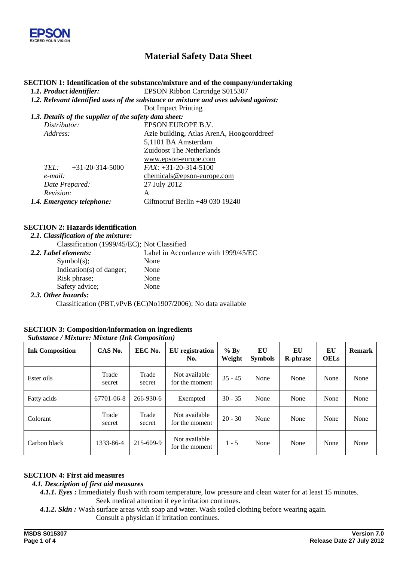

# **Material Safety Data Sheet**

#### **SECTION 1: Identification of the substance/mixture and of the company/undertaking**

*1.1. Product identifier:* EPSON Ribbon Cartridge S015307

*1.2. Relevant identified uses of the substance or mixture and uses advised against:* 

Dot Impact Printing

#### *1.3. Details of the supplier of the safety data sheet:*

| Distributor:                 | EPSON EUROPE B.V.                         |
|------------------------------|-------------------------------------------|
| Address:                     | Azie building, Atlas ArenA, Hoogoorddreef |
|                              | 5,1101 BA Amsterdam                       |
|                              | <b>Zuidoost The Netherlands</b>           |
|                              | www.epson-europe.com                      |
| $+31-20-314-5000$<br>$TEL^+$ | $FAX: +31-20-314-5100$                    |
| $e$ -mail:                   | chemicals@epson-europe.com                |
| Date Prepared:               | 27 July 2012                              |
| Revision:                    | A                                         |
| 1.4. Emergency telephone:    | Giftnotruf Berlin $+49$ 030 19240         |
|                              |                                           |

### **SECTION 2: Hazards identification**

#### *2.1. Classification of the mixture:*

|                                   | Classification (1999/45/EC); Not Classified |                                     |
|-----------------------------------|---------------------------------------------|-------------------------------------|
| 2.2. Label elements:              |                                             | Label in Accordance with 1999/45/EC |
| Symbol(s);                        |                                             | None                                |
|                                   | Indication(s) of danger;                    | None                                |
| Risk phrase;                      |                                             | None                                |
|                                   | Safety advice;                              | None                                |
| $\bullet \bullet \bullet \bullet$ |                                             |                                     |

#### *2.3. Other hazards:*

Classification (PBT,vPvB (EC)No1907/2006); No data available

### **SECTION 3: Composition/information on ingredients**

| <b>Ink Composition</b> | CAS No.         | EEC No.         | <b>EU</b> registration<br>No.   | $%$ By<br>Weight | EU<br><b>Symbols</b> | EU<br><b>R-phrase</b> | EU<br><b>OELs</b> | <b>Remark</b> |
|------------------------|-----------------|-----------------|---------------------------------|------------------|----------------------|-----------------------|-------------------|---------------|
| Ester oils             | Trade<br>secret | Trade<br>secret | Not available<br>for the moment | $35 - 45$        | None                 | None                  | None              | None          |
| Fatty acids            | 67701-06-8      | 266-930-6       | Exempted                        | $30 - 35$        | None                 | None                  | None              | None          |
| Colorant               | Trade<br>secret | Trade<br>secret | Not available<br>for the moment | $20 - 30$        | None                 | None                  | None              | None          |
| Carbon black           | 1333-86-4       | 215-609-9       | Not available<br>for the moment | $1 - 5$          | None                 | None                  | None              | None          |

### *Substance / Mixture: Mixture (Ink Composition)*

#### **SECTION 4: First aid measures**

#### *4.1. Description of first aid measures*

*4.1.1. Eyes :* Immediately flush with room temperature, low pressure and clean water for at least 15 minutes*.*  Seek medical attention if eye irritation continues.

*4.1.2. Skin :* Wash surface areas with soap and water. Wash soiled clothing before wearing again.

Consult a physician if irritation continues.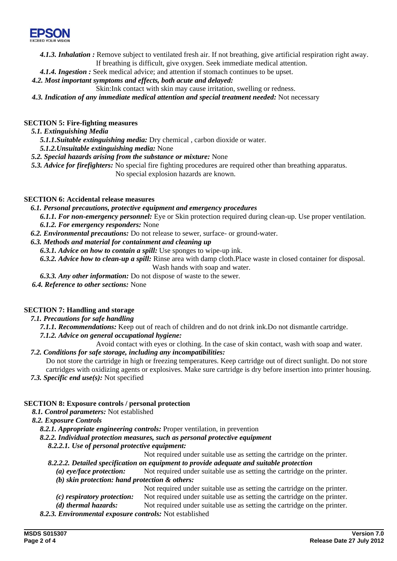

*4.1.3. Inhalation :* Remove subject to ventilated fresh air. If not breathing, give artificial respiration right away. If breathing is difficult, give oxygen. Seek immediate medical attention.

*4.1.4. Ingestion :* Seek medical advice; and attention if stomach continues to be upset.

### *4.2. Most important symptoms and effects, both acute and delayed:*

Skin:Ink contact with skin may cause irritation, swelling or redness.

*4.3. Indication of any immediate medical attention and special treatment needed:* Not necessary

### **SECTION 5: Fire-fighting measures**

*5.1. Extinguishing Media* 

*5.1.1.Suitable extinguishing media:* Dry chemical , carbon dioxide or water.

*5.1.2.Unsuitable extinguishing media:* None

*5.2. Special hazards arising from the substance or mixture:* None

*5.3. Advice for firefighters:* No special fire fighting procedures are required other than breathing apparatus. No special explosion hazards are known.

#### **SECTION 6: Accidental release measures**

#### *6.1. Personal precautions, protective equipment and emergency procedures*

*6.1.1. For non-emergency personnel:* Eye or Skin protection required during clean-up. Use proper ventilation. *6.1.2. For emergency responders:* None

*6.2. Environmental precautions:* Do not release to sewer, surface- or ground-water.

### *6.3. Methods and material for containment and cleaning up*

*6.3.1. Advice on how to contain a spill:* Use sponges to wipe-up ink.

*6.3.2. Advice how to clean-up a spill:* Rinse area with damp cloth.Place waste in closed container for disposal. Wash hands with soap and water.

- *6.3.3. Any other information:* Do not dispose of waste to the sewer.
- *6.4. Reference to other sections:* None

### **SECTION 7: Handling and storage**

#### *7.1. Precautions for safe handling*

*7.1.1. Recommendations:* Keep out of reach of children and do not drink ink.Do not dismantle cartridge.

#### *7.1.2. Advice on general occupational hygiene:*

Avoid contact with eyes or clothing. In the case of skin contact, wash with soap and water.

### *7.2. Conditions for safe storage, including any incompatibilities:*

Do not store the cartridge in high or freezing temperatures. Keep cartridge out of direct sunlight. Do not store cartridges with oxidizing agents or explosives. Make sure cartridge is dry before insertion into printer housing.

*7.3. Specific end use(s):* Not specified

### **SECTION 8: Exposure controls / personal protection**

### *8.1. Control parameters:* Not established

- *8.2. Exposure Controls* 
	- *8.2.1. Appropriate engineering controls:* Proper ventilation, in prevention
	- *8.2.2. Individual protection measures, such as personal protective equipment* 
		- *8.2.2.1. Use of personal protective equipment:*

Not required under suitable use as setting the cartridge on the printer.

### *8.2.2.2. Detailed specification on equipment to provide adequate and suitable protection*

*(a) eye/face protection:* Not required under suitable use as setting the cartridge on the printer.

### *(b) skin protection: hand protection & others:*

Not required under suitable use as setting the cartridge on the printer.

- *(c) respiratory protection:* Not required under suitable use as setting the cartridge on the printer.
- *(d) thermal hazards:* Not required under suitable use as setting the cartridge on the printer.
- *8.2.3. Environmental exposure controls:* Not established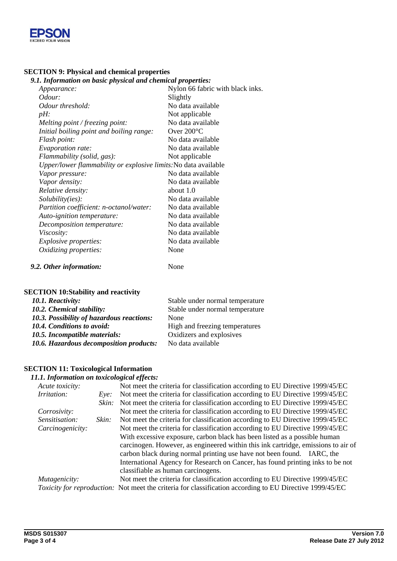

### **SECTION 9: Physical and chemical properties**

# *9.1. Information on basic physical and chemical properties:*

| n ngolmanon on oasie physical and enemy                         |                                  |
|-----------------------------------------------------------------|----------------------------------|
| Appearance:                                                     | Nylon 66 fabric with black inks. |
| Odour:                                                          | Slightly                         |
| Odour threshold:                                                | No data available                |
| $pH$ :                                                          | Not applicable                   |
| Melting point / freezing point:                                 | No data available                |
| Initial boiling point and boiling range:                        | Over $200^{\circ}$ C             |
| Flash point:                                                    | No data available                |
| Evaporation rate:                                               | No data available                |
| Flammability (solid, gas):                                      | Not applicable                   |
| Upper/lower flammability or explosive limits: No data available |                                  |
| Vapor pressure:                                                 | No data available                |
| Vapor density:                                                  | No data available                |
| Relative density:                                               | about $1.0$                      |
| Solubility(ies):                                                | No data available                |
| Partition coefficient: n-octanol/water:                         | No data available                |
| Auto-ignition temperature:                                      | No data available                |
| Decomposition temperature:                                      | No data available                |
| Viscosity:                                                      | No data available                |
| <i>Explosive properties:</i>                                    | No data available                |
| Oxidizing properties:                                           | None                             |
|                                                                 |                                  |

#### *9.2. Other information:* None

# **SECTION 10:Stability and reactivity**

| 10.1. Reactivity:                         | Stable under normal temperature |
|-------------------------------------------|---------------------------------|
| 10.2. Chemical stability:                 | Stable under normal temperature |
| 10.3. Possibility of hazardous reactions: | None                            |
| <b>10.4. Conditions to avoid:</b>         | High and freezing temperatures  |
| 10.5. Incompatible materials:             | Oxidizers and explosives        |
| 10.6. Hazardous decomposition products:   | No data available               |
|                                           |                                 |

#### **SECTION 11: Toxicological Information**

## *11.1. Information on toxicological effects:*

| Acute toxicity:  |       | Not meet the criteria for classification according to EU Directive 1999/45/EC                                   |
|------------------|-------|-----------------------------------------------------------------------------------------------------------------|
| Irritation:      | Eve:  | Not meet the criteria for classification according to EU Directive 1999/45/EC                                   |
|                  | Skin: | Not meet the criteria for classification according to EU Directive 1999/45/EC                                   |
| Corrosivity:     |       | Not meet the criteria for classification according to EU Directive 1999/45/EC                                   |
| Sensitisation:   | Skin: | Not meet the criteria for classification according to EU Directive 1999/45/EC                                   |
| Carcinogenicity: |       | Not meet the criteria for classification according to EU Directive 1999/45/EC                                   |
|                  |       | With excessive exposure, carbon black has been listed as a possible human                                       |
|                  |       | carcinogen. However, as engineered within this ink cartridge, emissions to air of                               |
|                  |       | carbon black during normal printing use have not been found. IARC, the                                          |
|                  |       | International Agency for Research on Cancer, has found printing inks to be not                                  |
|                  |       | classifiable as human carcinogens.                                                                              |
| Mutagenicity:    |       | Not meet the criteria for classification according to EU Directive 1999/45/EC                                   |
|                  |       | <i>Toxicity for reproduction:</i> Not meet the criteria for classification according to EU Directive 1999/45/EC |
|                  |       |                                                                                                                 |